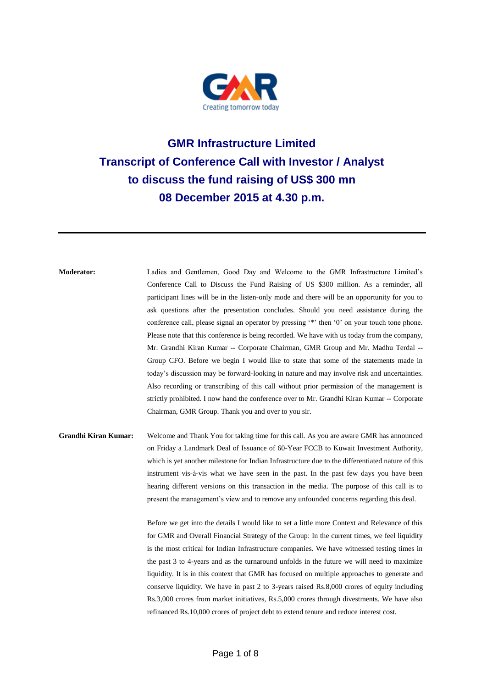

## **GMR Infrastructure Limited Transcript of Conference Call with Investor / Analyst to discuss the fund raising of US\$ 300 mn 08 December 2015 at 4.30 p.m.**

**Moderator:** Ladies and Gentlemen, Good Day and Welcome to the GMR Infrastructure Limited's Conference Call to Discuss the Fund Raising of US \$300 million. As a reminder, all participant lines will be in the listen-only mode and there will be an opportunity for you to ask questions after the presentation concludes. Should you need assistance during the conference call, please signal an operator by pressing '\*' then '0' on your touch tone phone. Please note that this conference is being recorded. We have with us today from the company, Mr. Grandhi Kiran Kumar -- Corporate Chairman, GMR Group and Mr. Madhu Terdal -- Group CFO. Before we begin I would like to state that some of the statements made in today's discussion may be forward-looking in nature and may involve risk and uncertainties. Also recording or transcribing of this call without prior permission of the management is strictly prohibited. I now hand the conference over to Mr. Grandhi Kiran Kumar -- Corporate Chairman, GMR Group. Thank you and over to you sir.

**Grandhi Kiran Kumar:** Welcome and Thank You for taking time for this call. As you are aware GMR has announced on Friday a Landmark Deal of Issuance of 60-Year FCCB to Kuwait Investment Authority, which is yet another milestone for Indian Infrastructure due to the differentiated nature of this instrument vis-à-vis what we have seen in the past. In the past few days you have been hearing different versions on this transaction in the media. The purpose of this call is to present the management's view and to remove any unfounded concerns regarding this deal.

> Before we get into the details I would like to set a little more Context and Relevance of this for GMR and Overall Financial Strategy of the Group: In the current times, we feel liquidity is the most critical for Indian Infrastructure companies. We have witnessed testing times in the past 3 to 4-years and as the turnaround unfolds in the future we will need to maximize liquidity. It is in this context that GMR has focused on multiple approaches to generate and conserve liquidity. We have in past 2 to 3-years raised Rs.8,000 crores of equity including Rs.3,000 crores from market initiatives, Rs.5,000 crores through divestments. We have also refinanced Rs.10,000 crores of project debt to extend tenure and reduce interest cost.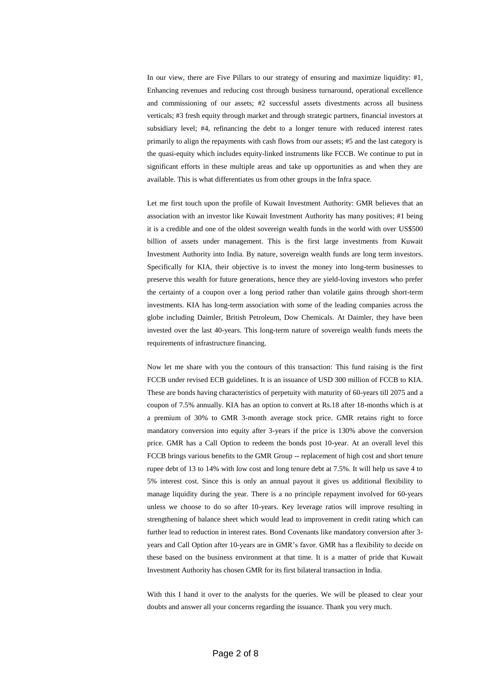In our view, there are Five Pillars to our strategy of ensuring and maximize liquidity:  $\#1$ , Enhancing revenues and reducing cost through business turnaround, operational excellence and commissioning of our assets; #2 successful assets divestments across all business verticals; #3 fresh equity through market and through strategic partners, financial investors at subsidiary level; #4, refinancing the debt to a longer tenure with reduced interest rates primarily to align the repayments with cash flows from our assets; #5 and the last category is the quasi-equity which includes equity-linked instruments like FCCB. We continue to put in significant efforts in these multiple areas and take up opportunities as and when they are available. This is what differentiates us from other groups in the Infra space.

Let me first touch upon the profile of Kuwait Investment Authority: GMR believes that an association with an investor like Kuwait Investment Authority has many positives; #1 being it is a credible and one of the oldest sovereign wealth funds in the world with over US\$500 billion of assets under management. This is the first large investments from Kuwait Investment Authority into India. By nature, sovereign wealth funds are long term investors. Specifically for KIA, their objective is to invest the money into long-term businesses to preserve this wealth for future generations, hence they are yield-loving investors who prefer the certainty of a coupon over a long period rather than volatile gains through short-term investments. KIA has long-term association with some of the leading companies across the globe including Daimler, British Petroleum, Dow Chemicals. At Daimler, they have been invested over the last 40-years. This long-term nature of sovereign wealth funds meets the requirements of infrastructure financing.

Now let me share with you the contours of this transaction: This fund raising is the first FCCB under revised ECB guidelines. It is an issuance of USD 300 million of FCCB to KIA. These are bonds having characteristics of perpetuity with maturity of 60-years till 2075 and a coupon of 7.5% annually. KIA has an option to convert at Rs.18 after 18-months which is at a premium of 30% to GMR 3-month average stock price. GMR retains right to force mandatory conversion into equity after 3-years if the price is 130% above the conversion price. GMR has a Call Option to redeem the bonds post 10-year. At an overall level this FCCB brings various benefits to the GMR Group -- replacement of high cost and short tenure rupee debt of 13 to 14% with low cost and long tenure debt at 7.5%. It will help us save 4 to 5% interest cost. Since this is only an annual payout it gives us additional flexibility to manage liquidity during the year. There is a no principle repayment involved for 60-years unless we choose to do so after 10-years. Key leverage ratios will improve resulting in strengthening of balance sheet which would lead to improvement in credit rating which can further lead to reduction in interest rates. Bond Covenants like mandatory conversion after 3 years and Call Option after 10-years are in GMR's favor. GMR has a flexibility to decide on these based on the business environment at that time. It is a matter of pride that Kuwait Investment Authority has chosen GMR for its first bilateral transaction in India.

With this I hand it over to the analysts for the queries. We will be pleased to clear your doubts and answer all your concerns regarding the issuance. Thank you very much.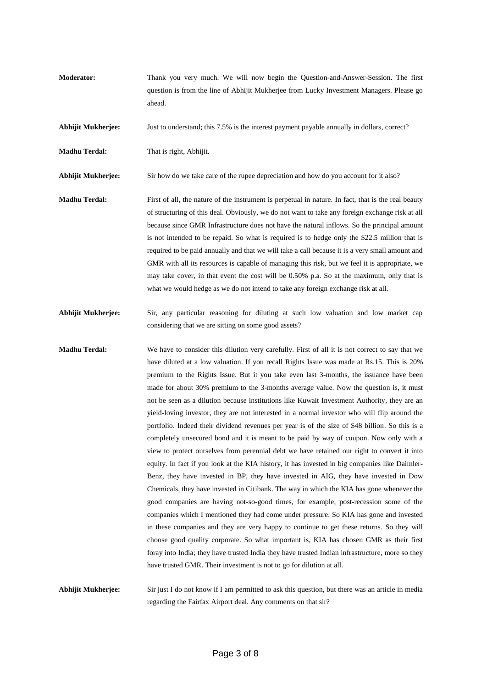**Moderator:** Thank you very much. We will now begin the Question-and-Answer-Session. The first question is from the line of Abhijit Mukherjee from Lucky Investment Managers. Please go ahead.

**Abhijit Mukherjee:** Just to understand; this 7.5% is the interest payment payable annually in dollars, correct?

**Madhu Terdal:** That is right, Abhijit.

**Abhijit Mukherjee:** Sir how do we take care of the rupee depreciation and how do you account for it also?

- **Madhu Terdal:** First of all, the nature of the instrument is perpetual in nature. In fact, that is the real beauty of structuring of this deal. Obviously, we do not want to take any foreign exchange risk at all because since GMR Infrastructure does not have the natural inflows. So the principal amount is not intended to be repaid. So what is required is to hedge only the \$22.5 million that is required to be paid annually and that we will take a call because it is a very small amount and GMR with all its resources is capable of managing this risk, but we feel it is appropriate, we may take cover, in that event the cost will be 0.50% p.a. So at the maximum, only that is what we would hedge as we do not intend to take any foreign exchange risk at all.
- **Abhijit Mukherjee:** Sir, any particular reasoning for diluting at such low valuation and low market cap considering that we are sitting on some good assets?
- **Madhu Terdal:** We have to consider this dilution very carefully. First of all it is not correct to say that we have diluted at a low valuation. If you recall Rights Issue was made at Rs.15. This is 20% premium to the Rights Issue. But it you take even last 3-months, the issuance have been made for about 30% premium to the 3-months average value. Now the question is, it must not be seen as a dilution because institutions like Kuwait Investment Authority, they are an yield-loving investor, they are not interested in a normal investor who will flip around the portfolio. Indeed their dividend revenues per year is of the size of \$48 billion. So this is a completely unsecured bond and it is meant to be paid by way of coupon. Now only with a view to protect ourselves from perennial debt we have retained our right to convert it into equity. In fact if you look at the KIA history, it has invested in big companies like Daimler-Benz, they have invested in BP, they have invested in AIG, they have invested in Dow Chemicals, they have invested in Citibank. The way in which the KIA has gone whenever the good companies are having not-so-good times, for example, post-recession some of the companies which I mentioned they had come under pressure. So KIA has gone and invested in these companies and they are very happy to continue to get these returns. So they will choose good quality corporate. So what important is, KIA has chosen GMR as their first foray into India; they have trusted India they have trusted Indian infrastructure, more so they have trusted GMR. Their investment is not to go for dilution at all.

**Abhijit Mukherjee:** Sir just I do not know if I am permitted to ask this question, but there was an article in media regarding the Fairfax Airport deal. Any comments on that sir?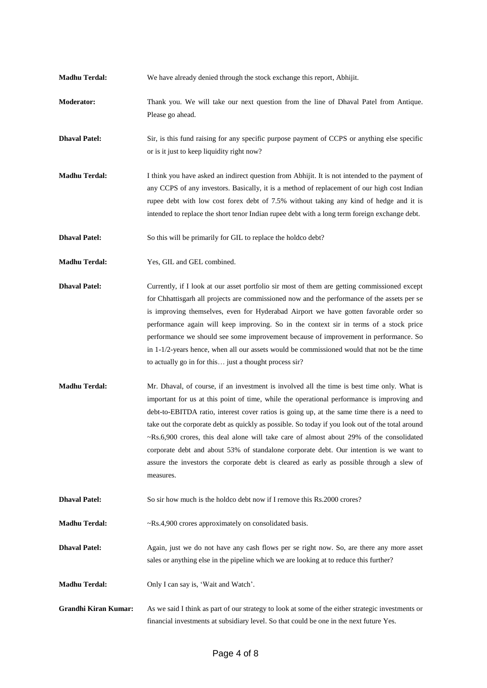- **Madhu Terdal:** We have already denied through the stock exchange this report, Abhijit.
- **Moderator:** Thank you. We will take our next question from the line of Dhaval Patel from Antique. Please go ahead.

**Dhaval Patel:** Sir, is this fund raising for any specific purpose payment of CCPS or anything else specific or is it just to keep liquidity right now?

**Madhu Terdal:** I think you have asked an indirect question from Abhijit. It is not intended to the payment of any CCPS of any investors. Basically, it is a method of replacement of our high cost Indian rupee debt with low cost forex debt of 7.5% without taking any kind of hedge and it is intended to replace the short tenor Indian rupee debt with a long term foreign exchange debt.

**Dhaval Patel:** So this will be primarily for GIL to replace the holdco debt?

- **Madhu Terdal:** Yes, GIL and GEL combined.
- **Dhaval Patel:** Currently, if I look at our asset portfolio sir most of them are getting commissioned except for Chhattisgarh all projects are commissioned now and the performance of the assets per se is improving themselves, even for Hyderabad Airport we have gotten favorable order so performance again will keep improving. So in the context sir in terms of a stock price performance we should see some improvement because of improvement in performance. So in 1-1/2-years hence, when all our assets would be commissioned would that not be the time to actually go in for this… just a thought process sir?
- **Madhu Terdal:** Mr. Dhaval, of course, if an investment is involved all the time is best time only. What is important for us at this point of time, while the operational performance is improving and debt-to-EBITDA ratio, interest cover ratios is going up, at the same time there is a need to take out the corporate debt as quickly as possible. So today if you look out of the total around ~Rs.6,900 crores, this deal alone will take care of almost about 29% of the consolidated corporate debt and about 53% of standalone corporate debt. Our intention is we want to assure the investors the corporate debt is cleared as early as possible through a slew of measures.
- **Dhaval Patel:** So sir how much is the holdco debt now if I remove this Rs.2000 crores?

**Madhu Terdal:**  $-Rs.4,900$  crores approximately on consolidated basis.

**Dhaval Patel:** Again, just we do not have any cash flows per se right now. So, are there any more asset sales or anything else in the pipeline which we are looking at to reduce this further?

**Madhu Terdal:** Only I can say is, 'Wait and Watch'.

**Grandhi Kiran Kumar:** As we said I think as part of our strategy to look at some of the either strategic investments or financial investments at subsidiary level. So that could be one in the next future Yes.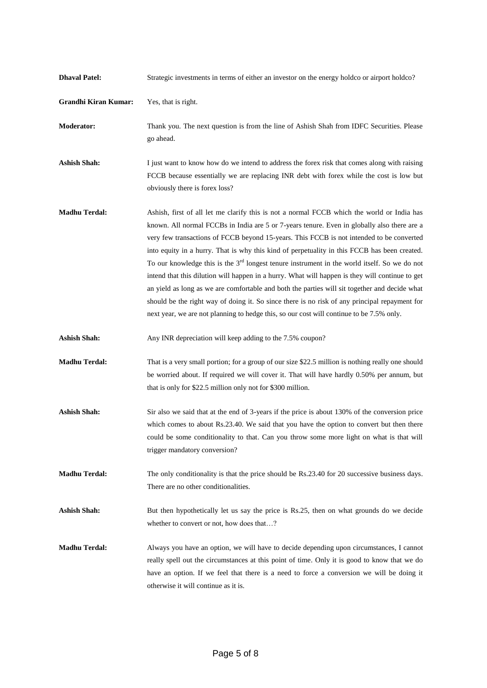| <b>Dhaval Patel:</b>        | Strategic investments in terms of either an investor on the energy holdco or airport holdco?                                                                                                                                                                                                                                                                                                                                                                                                                                                                                                                                                                                                                                                                                                                                                                                             |
|-----------------------------|------------------------------------------------------------------------------------------------------------------------------------------------------------------------------------------------------------------------------------------------------------------------------------------------------------------------------------------------------------------------------------------------------------------------------------------------------------------------------------------------------------------------------------------------------------------------------------------------------------------------------------------------------------------------------------------------------------------------------------------------------------------------------------------------------------------------------------------------------------------------------------------|
| <b>Grandhi Kiran Kumar:</b> | Yes, that is right.                                                                                                                                                                                                                                                                                                                                                                                                                                                                                                                                                                                                                                                                                                                                                                                                                                                                      |
| <b>Moderator:</b>           | Thank you. The next question is from the line of Ashish Shah from IDFC Securities. Please<br>go ahead.                                                                                                                                                                                                                                                                                                                                                                                                                                                                                                                                                                                                                                                                                                                                                                                   |
| <b>Ashish Shah:</b>         | I just want to know how do we intend to address the forex risk that comes along with raising<br>FCCB because essentially we are replacing INR debt with forex while the cost is low but<br>obviously there is forex loss?                                                                                                                                                                                                                                                                                                                                                                                                                                                                                                                                                                                                                                                                |
| <b>Madhu Terdal:</b>        | Ashish, first of all let me clarify this is not a normal FCCB which the world or India has<br>known. All normal FCCBs in India are 5 or 7-years tenure. Even in globally also there are a<br>very few transactions of FCCB beyond 15-years. This FCCB is not intended to be converted<br>into equity in a hurry. That is why this kind of perpetuality in this FCCB has been created.<br>To our knowledge this is the $3rd$ longest tenure instrument in the world itself. So we do not<br>intend that this dilution will happen in a hurry. What will happen is they will continue to get<br>an yield as long as we are comfortable and both the parties will sit together and decide what<br>should be the right way of doing it. So since there is no risk of any principal repayment for<br>next year, we are not planning to hedge this, so our cost will continue to be 7.5% only. |
| <b>Ashish Shah:</b>         | Any INR depreciation will keep adding to the 7.5% coupon?                                                                                                                                                                                                                                                                                                                                                                                                                                                                                                                                                                                                                                                                                                                                                                                                                                |
| <b>Madhu Terdal:</b>        | That is a very small portion; for a group of our size \$22.5 million is nothing really one should<br>be worried about. If required we will cover it. That will have hardly 0.50% per annum, but<br>that is only for \$22.5 million only not for \$300 million.                                                                                                                                                                                                                                                                                                                                                                                                                                                                                                                                                                                                                           |
| <b>Ashish Shah:</b>         | Sir also we said that at the end of 3-years if the price is about 130% of the conversion price<br>which comes to about Rs.23.40. We said that you have the option to convert but then there<br>could be some conditionality to that. Can you throw some more light on what is that will<br>trigger mandatory conversion?                                                                                                                                                                                                                                                                                                                                                                                                                                                                                                                                                                 |
| <b>Madhu Terdal:</b>        | The only conditionality is that the price should be Rs.23.40 for 20 successive business days.<br>There are no other conditionalities.                                                                                                                                                                                                                                                                                                                                                                                                                                                                                                                                                                                                                                                                                                                                                    |
| <b>Ashish Shah:</b>         | But then hypothetically let us say the price is Rs.25, then on what grounds do we decide<br>whether to convert or not, how does that?                                                                                                                                                                                                                                                                                                                                                                                                                                                                                                                                                                                                                                                                                                                                                    |
| <b>Madhu Terdal:</b>        | Always you have an option, we will have to decide depending upon circumstances, I cannot<br>really spell out the circumstances at this point of time. Only it is good to know that we do<br>have an option. If we feel that there is a need to force a conversion we will be doing it<br>otherwise it will continue as it is.                                                                                                                                                                                                                                                                                                                                                                                                                                                                                                                                                            |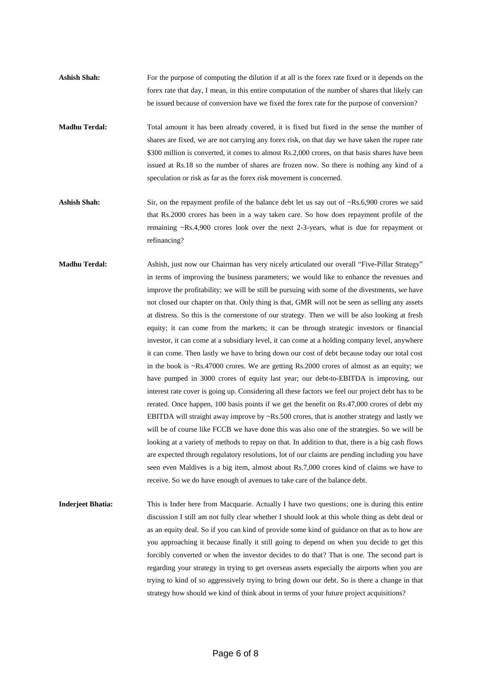- **Ashish Shah:** For the purpose of computing the dilution if at all is the forex rate fixed or it depends on the forex rate that day, I mean, in this entire computation of the number of shares that likely can be issued because of conversion have we fixed the forex rate for the purpose of conversion?
- **Madhu Terdal:** Total amount it has been already covered, it is fixed but fixed in the sense the number of shares are fixed, we are not carrying any forex risk, on that day we have taken the rupee rate \$300 million is converted, it comes to almost Rs.2,000 crores, on that basis shares have been issued at Rs.18 so the number of shares are frozen now. So there is nothing any kind of a speculation or risk as far as the forex risk movement is concerned.
- **Ashish Shah:** Sir, on the repayment profile of the balance debt let us say out of ~Rs.6,900 crores we said that Rs.2000 crores has been in a way taken care. So how does repayment profile of the remaining ~Rs.4,900 crores look over the next 2-3-years, what is due for repayment or refinancing?
- **Madhu Terdal:** Ashish, just now our Chairman has very nicely articulated our overall "Five-Pillar Strategy" in terms of improving the business parameters; we would like to enhance the revenues and improve the profitability; we will be still be pursuing with some of the divestments, we have not closed our chapter on that. Only thing is that, GMR will not be seen as selling any assets at distress. So this is the cornerstone of our strategy. Then we will be also looking at fresh equity; it can come from the markets; it can be through strategic investors or financial investor, it can come at a subsidiary level, it can come at a holding company level, anywhere it can come. Then lastly we have to bring down our cost of debt because today our total cost in the book is  $\sim$ Rs.47000 crores. We are getting Rs.2000 crores of almost as an equity; we have pumped in 3000 crores of equity last year; our debt-to-EBITDA is improving, our interest rate cover is going up. Considering all these factors we feel our project debt has to be rerated. Once happen, 100 basis points if we get the benefit on Rs.47,000 crores of debt my EBITDA will straight away improve by  $\sim$ Rs.500 crores, that is another strategy and lastly we will be of course like FCCB we have done this was also one of the strategies. So we will be looking at a variety of methods to repay on that. In addition to that, there is a big cash flows are expected through regulatory resolutions, lot of our claims are pending including you have seen even Maldives is a big item, almost about Rs.7,000 crores kind of claims we have to receive. So we do have enough of avenues to take care of the balance debt.
- **Inderjeet Bhatia:** This is Inder here from Macquarie. Actually I have two questions; one is during this entire discussion I still am not fully clear whether I should look at this whole thing as debt deal or as an equity deal. So if you can kind of provide some kind of guidance on that as to how are you approaching it because finally it still going to depend on when you decide to get this forcibly converted or when the investor decides to do that? That is one. The second part is regarding your strategy in trying to get overseas assets especially the airports when you are trying to kind of so aggressively trying to bring down our debt. So is there a change in that strategy how should we kind of think about in terms of your future project acquisitions?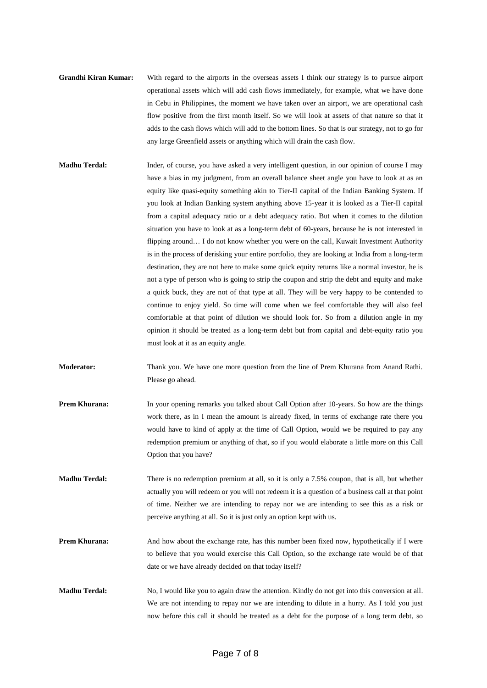- **Grandhi Kiran Kumar:** With regard to the airports in the overseas assets I think our strategy is to pursue airport operational assets which will add cash flows immediately, for example, what we have done in Cebu in Philippines, the moment we have taken over an airport, we are operational cash flow positive from the first month itself. So we will look at assets of that nature so that it adds to the cash flows which will add to the bottom lines. So that is our strategy, not to go for any large Greenfield assets or anything which will drain the cash flow.
- **Madhu Terdal:** Inder, of course, you have asked a very intelligent question, in our opinion of course I may have a bias in my judgment, from an overall balance sheet angle you have to look at as an equity like quasi-equity something akin to Tier-II capital of the Indian Banking System. If you look at Indian Banking system anything above 15-year it is looked as a Tier-II capital from a capital adequacy ratio or a debt adequacy ratio. But when it comes to the dilution situation you have to look at as a long-term debt of 60-years, because he is not interested in flipping around… I do not know whether you were on the call, Kuwait Investment Authority is in the process of derisking your entire portfolio, they are looking at India from a long-term destination, they are not here to make some quick equity returns like a normal investor, he is not a type of person who is going to strip the coupon and strip the debt and equity and make a quick buck, they are not of that type at all. They will be very happy to be contended to continue to enjoy yield. So time will come when we feel comfortable they will also feel comfortable at that point of dilution we should look for. So from a dilution angle in my opinion it should be treated as a long-term debt but from capital and debt-equity ratio you must look at it as an equity angle.
- **Moderator:** Thank you. We have one more question from the line of Prem Khurana from Anand Rathi. Please go ahead.
- **Prem Khurana:** In your opening remarks you talked about Call Option after 10-years. So how are the things work there, as in I mean the amount is already fixed, in terms of exchange rate there you would have to kind of apply at the time of Call Option, would we be required to pay any redemption premium or anything of that, so if you would elaborate a little more on this Call Option that you have?
- **Madhu Terdal:** There is no redemption premium at all, so it is only a 7.5% coupon, that is all, but whether actually you will redeem or you will not redeem it is a question of a business call at that point of time. Neither we are intending to repay nor we are intending to see this as a risk or perceive anything at all. So it is just only an option kept with us.
- **Prem Khurana:** And how about the exchange rate, has this number been fixed now, hypothetically if I were to believe that you would exercise this Call Option, so the exchange rate would be of that date or we have already decided on that today itself?
- **Madhu Terdal:** No, I would like you to again draw the attention. Kindly do not get into this conversion at all. We are not intending to repay nor we are intending to dilute in a hurry. As I told you just now before this call it should be treated as a debt for the purpose of a long term debt, so